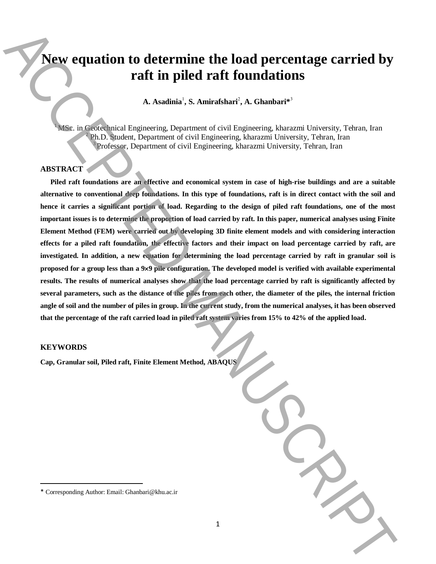# **New equation to determine the load percentage carried by raft in piled raft foundations**

A. Asadinia<sup>1</sup>, S. Amirafshari<sup>2</sup>, A. Ghanbari $^{*3}$ 

<sup>1</sup>MSc. in Geotechnical Engineering, Department of civil Engineering, kharazmi University, Tehran, Iran <sup>2</sup> Ph.D. Student, Department of civil Engineering, kharazmi University, Tehran, Iran <sup>3</sup>Professor, Department of civil Engineering, kharazmi University, Tehran, Iran

#### **ABSTRACT**

**Piled raft foundations are an effective and economical system in case of high-rise buildings and are a suitable alternative to conventional deep foundations. In this type of foundations, raft is in direct contact with the soil and hence it carries a significant portion of load. Regarding to the design of piled raft foundations, one of the most important issues is to determine the proportion of load carried by raft. In this paper, numerical analyses using Finite Element Method (FEM) were carried out by developing 3D finite element models and with considering interaction effects for a piled raft foundation, the effective factors and their impact on load percentage carried by raft, are investigated. In addition, a new equation for determining the load percentage carried by raft in granular soil is proposed for a group less than a 99 pile configuration. The developed model is verified with available experimental results. The results of numerical analyses show that the load percentage carried by raft is significantly affected by several parameters, such as the distance of the piles from each other, the diameter of the piles, the internal friction angle of soil and the number of piles in group. In the current study, from the numerical analyses, it has been observed that the percentage of the raft carried load in piled raft system varies from 15% to 42% of the applied load.** Next equalition to determine the load percentage carried by<br>
raft in piled raft foundations<br>  $\lambda$  Assolute's Concrete and Corresponding Authority in the Chancel Corresponding Author: Corresponding Author: Corresponding Au

### **KEYWORDS**

 $\overline{\phantom{a}}$ 

**Cap, Granular soil, Piled raft, Finite Element Method, ABAQUS**

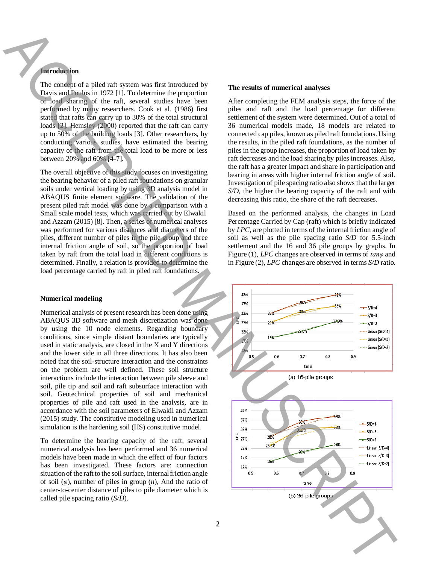## **Introduction**

The concept of a piled raft system was first introduced by Davis and Poulos in 1972 [1]. To determine the proportion of load sharing of the raft, several studies have been performed by many researchers. Cook et al. (1986) first stated that rafts can carry up to 30% of the total structural loads [2]. Hemsley (2000) reported that the raft can carry up to 50% of the building loads [3]. Other researchers, by conducting various studies, have estimated the bearing capacity of the raft from the total load to be more or less between 20% and 60% [4-7].

The overall objective of this study focuses on investigating the bearing behavior of a piled raft foundations on granular soils under vertical loading by using 3D analysis model in ABAQUS finite element software. The validation of the present piled raft model was done by a comparison with a Small scale model tests, which was carried out by Elwakil and Azzam (2015) [8]. Then, a series of numerical analyses was performed for various distances and diameters of the piles, different number of piles in the pile group and three internal friction angle of soil, so the proportion of load taken by raft from the total load in different conditions is determined. Finally, a relation is provided to determine the load percentage carried by raft in piled raft foundations.

#### **Numerical modeling**

Numerical analysis of present research has been done using ABAQUS 3D software and mesh discretization was done by using the 10 node elements. Regarding boundary conditions, since simple distant boundaries are typically used in static analysis, are closed in the X and Y directions and the lower side in all three directions. It has also been noted that the soil-structure interaction and the constraints on the problem are well defined. These soil structure interactions include the interaction between pile sleeve and soil, pile tip and soil and raft subsurface interaction with soil. Geotechnical properties of soil and mechanical properties of pile and raft used in the analysis, are in accordance with the soil parameters of Elwakil and Azzam (2015) study. The constitutive modeling used in numerical simulation is the hardening soil (HS) constitutive model.

To determine the bearing capacity of the raft, several numerical analysis has been performed and 36 numerical models have been made in which the effect of four factors has been investigated. These factors are: connection situation of the raft to the soil surface, internal friction angle of soil (*φ*), number of piles in group (*n*), And the ratio of center-to-center distance of piles to pile diameter which is called pile spacing ratio (*S/D*).

#### **The results of numerical analyses**

After completing the FEM analysis steps, the force of the piles and raft and the load percentage for different settlement of the system were determined. Out of a total of 36 numerical models made, 18 models are related to connected cap piles, known as piled raft foundations. Using the results, in the piled raft foundations, as the number of piles in the group increases, the proportion of load taken by raft decreases and the load sharing by piles increases. Also, the raft has a greater impact and share in participation and bearing in areas with higher internal friction angle of soil. Investigation of pile spacing ratio also shows that the larger *S/D*, the higher the bearing capacity of the raft and with decreasing this ratio, the share of the raft decreases.

Based on the performed analysis, the changes in Load Percentage Carried by Cap (raft) which is briefly indicated by *LPC*, are plotted in terms of the internal friction angle of soil as well as the pile spacing ratio *S/D* for 5.5-inch settlement and the 16 and 36 pile groups by graphs. In Figure (1), *LPC* changes are observed in terms of *tanφ* and